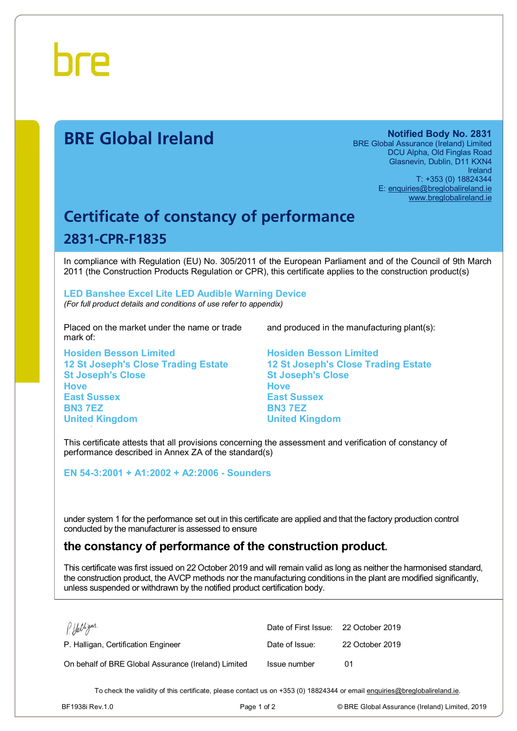

# **BRE Global Ireland Notified Body No. 2831**

BRE Global Assurance (Ireland) Limited DCU Alpha, Old Finglas Road Glasnevin, Dublin, D11 KXN4 Ireland T: +353 (0) 18824344 E: [enquiries@breglobalireland.ie](mailto:enquiries@breglobalireland.ie)  [www.breglobalireland.ie](http://www.breglobalireland.ie)

# **Certificate of constancy of performance 2831-CPR-F1835**

In compliance with Regulation (EU) No. 305/2011 of the European Parliament and of the Council of 9th March 2011 (the Construction Products Regulation or CPR), this certificate applies to the construction product(s)

### **LED Banshee Excel Lite LED Audible Warning Device**  *(For full product details and conditions of use refer to appendix)*

Placed on the market under the name or trade mark of:

**Hosiden Besson Limited 12 St Joseph's Close Trading Estate St Joseph's Close Hove East Sussex BN3 7EZ United Kingdom** 

and produced in the manufacturing plant(s):

**Hosiden Besson Limited 12 St Joseph's Close Trading Estate St Joseph's Close Hove East Sussex BN3 7EZ United Kingdom** 

This certificate attests that all provisions concerning the assessment and verification of constancy of performance described in Annex ZA of the standard(s)

**EN 54-3:2001 + A1:2002 + A2:2006 - Sounders** 

under system 1 for the performance set out in this certificate are applied and that the factory production control conducted by the manufacturer is assessed to ensure

# **the constancy of performance of the construction product.**

This certificate was first issued on 22 October 2019 and will remain valid as long as neither the harmonised standard, the construction product, the AVCP methods nor the manufacturing conditions in the plant are modified significantly, unless suspended or withdrawn by the notified product certification body.

| PHalligan.                                          | Date of First Issue: 22 October 2019 |                 |
|-----------------------------------------------------|--------------------------------------|-----------------|
| P. Halligan, Certification Engineer                 | Date of Issue:                       | 22 October 2019 |
| On behalf of BRE Global Assurance (Ireland) Limited | Issue number                         | በ1              |

To check the validity of this certificate, please contact us on +353 (0) 18824344 or email [enquiries@breglobalireland.ie](mailto:enquiries@breglobalireland.ie).